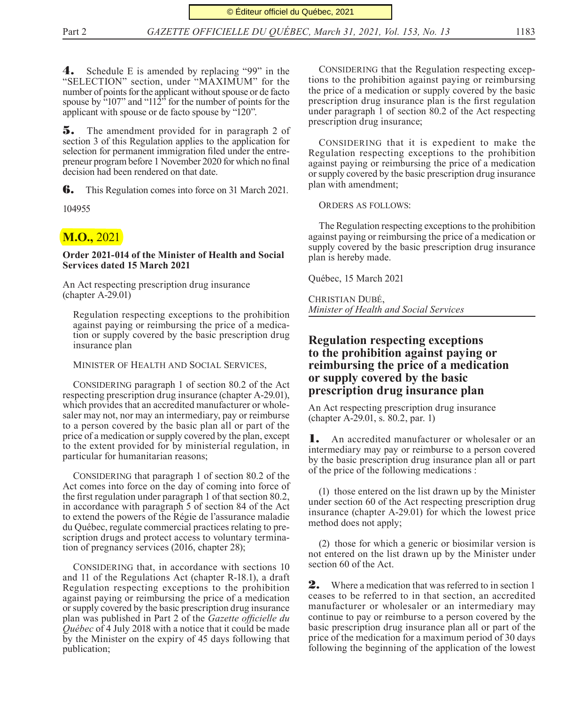4. Schedule E is amended by replacing "99" in the "SELECTION" section, under "MAXIMUM" for the number of points for the applicant without spouse or de facto spouse by  $\frac{107}{107}$  and "112<sup>"</sup> for the number of points for the applicant with spouse or de facto spouse by "120".

5. The amendment provided for in paragraph 2 of section 3 of this Regulation applies to the application for selection for permanent immigration filed under the entrepreneur program before 1 November 2020 for which no final decision had been rendered on that date.

**6.** This Regulation comes into force on 31 March 2021.

104955

## **M.O.,** 2021

**Order 2021-014 of the Minister of Health and Social Services dated 15 March 2021**

An Act respecting prescription drug insurance (chapter A-29.01)

Regulation respecting exceptions to the prohibition against paying or reimbursing the price of a medication or supply covered by the basic prescription drug insurance plan

Minister of Health and Social Services,

CONSIDERING paragraph 1 of section 80.2 of the Act respecting prescription drug insurance (chapter A-29.01), which provides that an accredited manufacturer or wholesaler may not, nor may an intermediary, pay or reimburse to a person covered by the basic plan all or part of the price of a medication or supply covered by the plan, except to the extent provided for by ministerial regulation, in particular for humanitarian reasons;

CONSIDERING that paragraph 1 of section 80.2 of the Act comes into force on the day of coming into force of the first regulation under paragraph 1 of that section 80.2, in accordance with paragraph 5 of section 84 of the Act to extend the powers of the Régie de l'assurance maladie du Québec, regulate commercial practices relating to prescription drugs and protect access to voluntary termination of pregnancy services (2016, chapter 28);

CONSIDERING that, in accordance with sections 10 and 11 of the Regulations Act (chapter R-18.1), a draft Regulation respecting exceptions to the prohibition against paying or reimbursing the price of a medication or supply covered by the basic prescription drug insurance plan was published in Part 2 of the *Gazette officielle du Québec* of 4 July 2018 with a notice that it could be made by the Minister on the expiry of 45 days following that publication;

CONSIDERING that the Regulation respecting exceptions to the prohibition against paying or reimbursing the price of a medication or supply covered by the basic prescription drug insurance plan is the first regulation under paragraph 1 of section 80.2 of the Act respecting prescription drug insurance;

CONSIDERING that it is expedient to make the Regulation respecting exceptions to the prohibition against paying or reimbursing the price of a medication or supply covered by the basic prescription drug insurance plan with amendment;

Orders as follows:

The Regulation respecting exceptions to the prohibition against paying or reimbursing the price of a medication or supply covered by the basic prescription drug insurance plan is hereby made.

Québec, 15 March 2021

Christian Dubé, *Minister of Health and Social Services*

## **Regulation respecting exceptions to the prohibition against paying or reimbursing the price of a medication or supply covered by the basic prescription drug insurance plan**

An Act respecting prescription drug insurance (chapter A-29.01, s. 80.2, par. 1)

1. An accredited manufacturer or wholesaler or an intermediary may pay or reimburse to a person covered by the basic prescription drug insurance plan all or part of the price of the following medications :

(1) those entered on the list drawn up by the Minister under section 60 of the Act respecting prescription drug insurance (chapter A-29.01) for which the lowest price method does not apply;

(2) those for which a generic or biosimilar version is not entered on the list drawn up by the Minister under section 60 of the Act.

2. Where a medication that was referred to in section 1 ceases to be referred to in that section, an accredited manufacturer or wholesaler or an intermediary may continue to pay or reimburse to a person covered by the basic prescription drug insurance plan all or part of the price of the medication for a maximum period of 30 days following the beginning of the application of the lowest